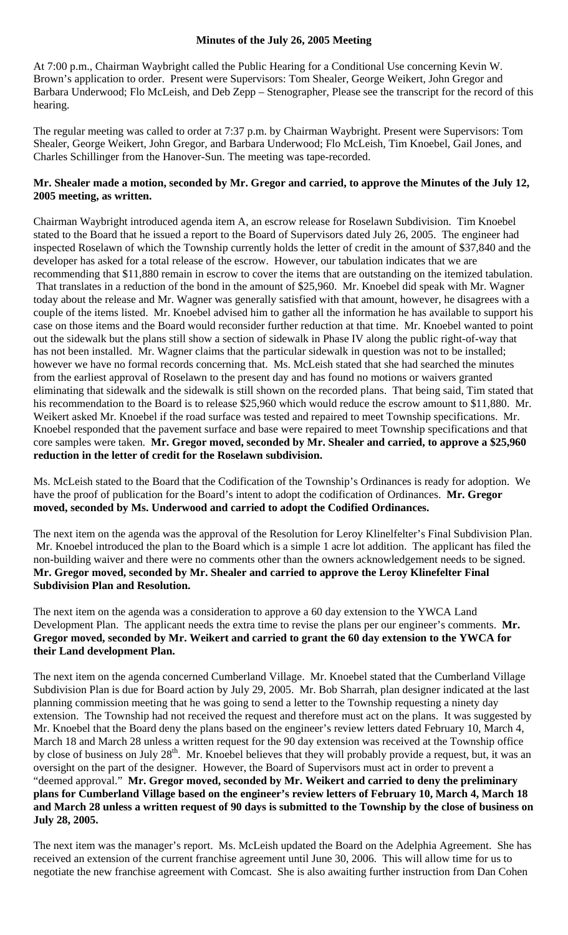## **Minutes of the July 26, 2005 Meeting**

At 7:00 p.m., Chairman Waybright called the Public Hearing for a Conditional Use concerning Kevin W. Brown's application to order. Present were Supervisors: Tom Shealer, George Weikert, John Gregor and Barbara Underwood; Flo McLeish, and Deb Zepp – Stenographer, Please see the transcript for the record of this hearing.

The regular meeting was called to order at 7:37 p.m. by Chairman Waybright. Present were Supervisors: Tom Shealer, George Weikert, John Gregor, and Barbara Underwood; Flo McLeish, Tim Knoebel, Gail Jones, and Charles Schillinger from the Hanover-Sun. The meeting was tape-recorded.

## **Mr. Shealer made a motion, seconded by Mr. Gregor and carried, to approve the Minutes of the July 12, 2005 meeting, as written.**

Chairman Waybright introduced agenda item A, an escrow release for Roselawn Subdivision. Tim Knoebel stated to the Board that he issued a report to the Board of Supervisors dated July 26, 2005. The engineer had inspected Roselawn of which the Township currently holds the letter of credit in the amount of \$37,840 and the developer has asked for a total release of the escrow. However, our tabulation indicates that we are recommending that \$11,880 remain in escrow to cover the items that are outstanding on the itemized tabulation. That translates in a reduction of the bond in the amount of \$25,960. Mr. Knoebel did speak with Mr. Wagner today about the release and Mr. Wagner was generally satisfied with that amount, however, he disagrees with a couple of the items listed. Mr. Knoebel advised him to gather all the information he has available to support his case on those items and the Board would reconsider further reduction at that time. Mr. Knoebel wanted to point out the sidewalk but the plans still show a section of sidewalk in Phase IV along the public right-of-way that has not been installed. Mr. Wagner claims that the particular sidewalk in question was not to be installed; however we have no formal records concerning that. Ms. McLeish stated that she had searched the minutes from the earliest approval of Roselawn to the present day and has found no motions or waivers granted eliminating that sidewalk and the sidewalk is still shown on the recorded plans. That being said, Tim stated that his recommendation to the Board is to release \$25,960 which would reduce the escrow amount to \$11,880. Mr. Weikert asked Mr. Knoebel if the road surface was tested and repaired to meet Township specifications. Mr. Knoebel responded that the pavement surface and base were repaired to meet Township specifications and that core samples were taken. **Mr. Gregor moved, seconded by Mr. Shealer and carried, to approve a \$25,960 reduction in the letter of credit for the Roselawn subdivision.** 

Ms. McLeish stated to the Board that the Codification of the Township's Ordinances is ready for adoption. We have the proof of publication for the Board's intent to adopt the codification of Ordinances. **Mr. Gregor moved, seconded by Ms. Underwood and carried to adopt the Codified Ordinances.** 

The next item on the agenda was the approval of the Resolution for Leroy Klinelfelter's Final Subdivision Plan. Mr. Knoebel introduced the plan to the Board which is a simple 1 acre lot addition. The applicant has filed the non-building waiver and there were no comments other than the owners acknowledgement needs to be signed. **Mr. Gregor moved, seconded by Mr. Shealer and carried to approve the Leroy Klinefelter Final Subdivision Plan and Resolution.** 

The next item on the agenda was a consideration to approve a 60 day extension to the YWCA Land Development Plan. The applicant needs the extra time to revise the plans per our engineer's comments. **Mr. Gregor moved, seconded by Mr. Weikert and carried to grant the 60 day extension to the YWCA for their Land development Plan.** 

The next item on the agenda concerned Cumberland Village. Mr. Knoebel stated that the Cumberland Village Subdivision Plan is due for Board action by July 29, 2005. Mr. Bob Sharrah, plan designer indicated at the last planning commission meeting that he was going to send a letter to the Township requesting a ninety day extension. The Township had not received the request and therefore must act on the plans. It was suggested by Mr. Knoebel that the Board deny the plans based on the engineer's review letters dated February 10, March 4, March 18 and March 28 unless a written request for the 90 day extension was received at the Township office by close of business on July 28<sup>th</sup>. Mr. Knoebel believes that they will probably provide a request, but, it was an oversight on the part of the designer. However, the Board of Supervisors must act in order to prevent a "deemed approval." **Mr. Gregor moved, seconded by Mr. Weikert and carried to deny the preliminary plans for Cumberland Village based on the engineer's review letters of February 10, March 4, March 18 and March 28 unless a written request of 90 days is submitted to the Township by the close of business on July 28, 2005.** 

The next item was the manager's report. Ms. McLeish updated the Board on the Adelphia Agreement. She has received an extension of the current franchise agreement until June 30, 2006. This will allow time for us to negotiate the new franchise agreement with Comcast. She is also awaiting further instruction from Dan Cohen